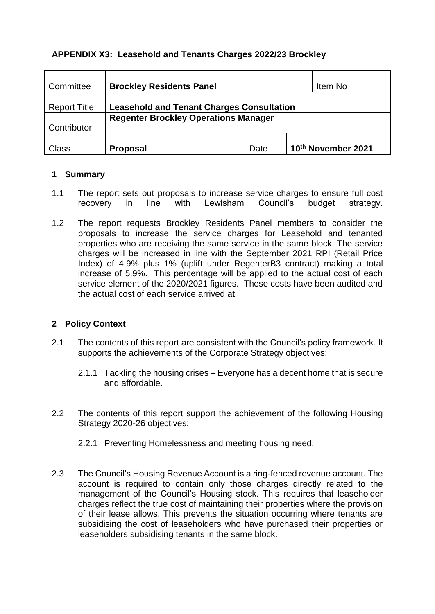# **APPENDIX X3: Leasehold and Tenants Charges 2022/23 Brockley**

| <b>Committee</b>    | <b>Brockley Residents Panel</b>                  | Item No |  |                    |  |
|---------------------|--------------------------------------------------|---------|--|--------------------|--|
| <b>Report Title</b> | <b>Leasehold and Tenant Charges Consultation</b> |         |  |                    |  |
|                     | <b>Regenter Brockley Operations Manager</b>      |         |  |                    |  |
| Contributor         |                                                  |         |  |                    |  |
| Class               | <b>Proposal</b>                                  | Date    |  | 10th November 2021 |  |

## **1 Summary**

- 1.1 The report sets out proposals to increase service charges to ensure full cost recovery in line with Lewisham Council's budget strategy.
- 1.2 The report requests Brockley Residents Panel members to consider the proposals to increase the service charges for Leasehold and tenanted properties who are receiving the same service in the same block. The service charges will be increased in line with the September 2021 RPI (Retail Price Index) of 4.9% plus 1% (uplift under RegenterB3 contract) making a total increase of 5.9%. This percentage will be applied to the actual cost of each service element of the 2020/2021 figures. These costs have been audited and the actual cost of each service arrived at.

# **2 Policy Context**

- 2.1 The contents of this report are consistent with the Council's policy framework. It supports the achievements of the Corporate Strategy objectives;
	- 2.1.1 Tackling the housing crises Everyone has a decent home that is secure and affordable.
- 2.2 The contents of this report support the achievement of the following Housing Strategy 2020-26 objectives;
	- 2.2.1 Preventing Homelessness and meeting housing need.
- 2.3 The Council's Housing Revenue Account is a ring-fenced revenue account. The account is required to contain only those charges directly related to the management of the Council's Housing stock. This requires that leaseholder charges reflect the true cost of maintaining their properties where the provision of their lease allows. This prevents the situation occurring where tenants are subsidising the cost of leaseholders who have purchased their properties or leaseholders subsidising tenants in the same block.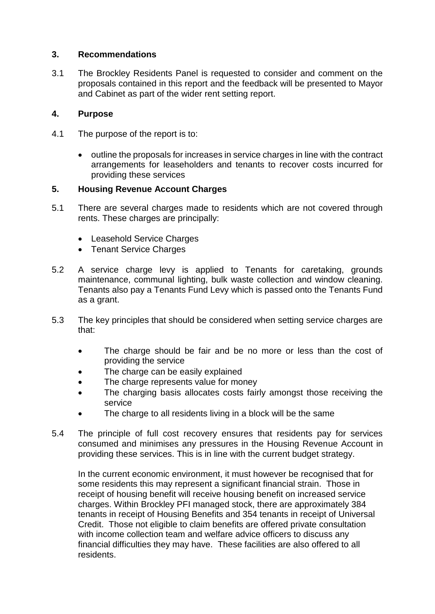### **3. Recommendations**

3.1 The Brockley Residents Panel is requested to consider and comment on the proposals contained in this report and the feedback will be presented to Mayor and Cabinet as part of the wider rent setting report.

# **4. Purpose**

- 4.1 The purpose of the report is to:
	- outline the proposals for increases in service charges in line with the contract arrangements for leaseholders and tenants to recover costs incurred for providing these services

## **5. Housing Revenue Account Charges**

- 5.1 There are several charges made to residents which are not covered through rents. These charges are principally:
	- Leasehold Service Charges
	- Tenant Service Charges
- 5.2 A service charge levy is applied to Tenants for caretaking, grounds maintenance, communal lighting, bulk waste collection and window cleaning. Tenants also pay a Tenants Fund Levy which is passed onto the Tenants Fund as a grant.
- 5.3 The key principles that should be considered when setting service charges are that:
	- The charge should be fair and be no more or less than the cost of providing the service
	- The charge can be easily explained
	- The charge represents value for money
	- The charging basis allocates costs fairly amongst those receiving the service
	- The charge to all residents living in a block will be the same
- 5.4 The principle of full cost recovery ensures that residents pay for services consumed and minimises any pressures in the Housing Revenue Account in providing these services. This is in line with the current budget strategy.

In the current economic environment, it must however be recognised that for some residents this may represent a significant financial strain. Those in receipt of housing benefit will receive housing benefit on increased service charges. Within Brockley PFI managed stock, there are approximately 384 tenants in receipt of Housing Benefits and 354 tenants in receipt of Universal Credit. Those not eligible to claim benefits are offered private consultation with income collection team and welfare advice officers to discuss any financial difficulties they may have. These facilities are also offered to all residents.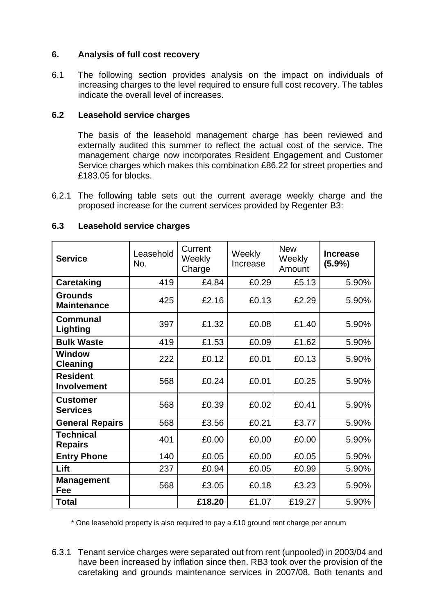## **6. Analysis of full cost recovery**

6.1 The following section provides analysis on the impact on individuals of increasing charges to the level required to ensure full cost recovery. The tables indicate the overall level of increases.

# **6.2 Leasehold service charges**

The basis of the leasehold management charge has been reviewed and externally audited this summer to reflect the actual cost of the service. The management charge now incorporates Resident Engagement and Customer Service charges which makes this combination £86.22 for street properties and £183.05 for blocks.

6.2.1 The following table sets out the current average weekly charge and the proposed increase for the current services provided by Regenter B3:

| <b>Service</b>                       | Leasehold<br>No. | Current<br>Weekly<br>Charge | Weekly<br>Increase | <b>New</b><br>Weekly<br>Amount | <b>Increase</b><br>$(5.9\%)$ |  |
|--------------------------------------|------------------|-----------------------------|--------------------|--------------------------------|------------------------------|--|
| <b>Caretaking</b>                    | 419              | £4.84                       | £0.29              | £5.13                          | 5.90%                        |  |
| <b>Grounds</b><br><b>Maintenance</b> | 425              | £2.16                       | £0.13              | £2.29                          | 5.90%                        |  |
| Communal<br>Lighting                 | 397              | £1.32                       | £0.08              | £1.40                          | 5.90%                        |  |
| <b>Bulk Waste</b>                    | 419              | £1.53                       | £0.09              | £1.62                          | 5.90%                        |  |
| <b>Window</b><br><b>Cleaning</b>     | 222              | £0.12                       | £0.01              | £0.13                          | 5.90%                        |  |
| <b>Resident</b><br>Involvement       | 568              | £0.24                       | £0.01              | £0.25                          | 5.90%                        |  |
| <b>Customer</b><br><b>Services</b>   | 568              | £0.39                       | £0.02              | £0.41                          | 5.90%                        |  |
| <b>General Repairs</b>               | 568              | £3.56                       | £0.21              | £3.77                          | 5.90%                        |  |
| <b>Technical</b><br><b>Repairs</b>   | 401              | £0.00                       | £0.00              | £0.00                          | 5.90%                        |  |
| <b>Entry Phone</b>                   | 140              | £0.05                       | £0.00              | £0.05                          | 5.90%                        |  |
| Lift                                 | 237              | £0.94                       | £0.05              | £0.99                          | 5.90%                        |  |
| <b>Management</b><br>Fee             | 568              | £3.05                       | £0.18              | £3.23                          | 5.90%                        |  |
| <b>Total</b>                         |                  | £18.20                      | £1.07              | £19.27                         | 5.90%                        |  |

## **6.3 Leasehold service charges**

\* One leasehold property is also required to pay a £10 ground rent charge per annum

6.3.1 Tenant service charges were separated out from rent (unpooled) in 2003/04 and have been increased by inflation since then. RB3 took over the provision of the caretaking and grounds maintenance services in 2007/08. Both tenants and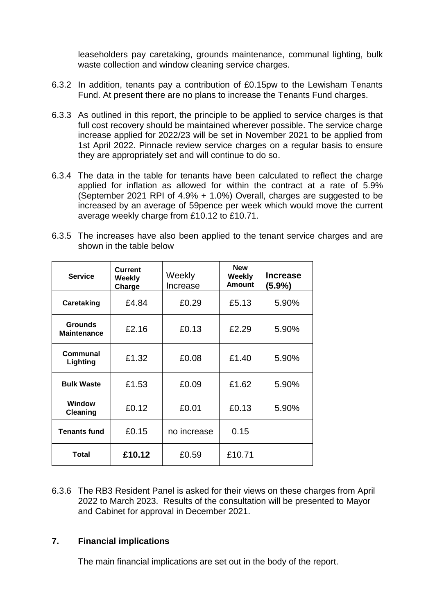leaseholders pay caretaking, grounds maintenance, communal lighting, bulk waste collection and window cleaning service charges.

- 6.3.2 In addition, tenants pay a contribution of £0.15pw to the Lewisham Tenants Fund. At present there are no plans to increase the Tenants Fund charges.
- 6.3.3 As outlined in this report, the principle to be applied to service charges is that full cost recovery should be maintained wherever possible. The service charge increase applied for 2022/23 will be set in November 2021 to be applied from 1st April 2022. Pinnacle review service charges on a regular basis to ensure they are appropriately set and will continue to do so.
- 6.3.4 The data in the table for tenants have been calculated to reflect the charge applied for inflation as allowed for within the contract at a rate of 5.9% (September 2021 RPI of 4.9% + 1.0%) Overall, charges are suggested to be increased by an average of 59pence per week which would move the current average weekly charge from £10.12 to £10.71.

| 6.3.5 The increases have also been applied to the tenant service charges and are |  |  |  |  |
|----------------------------------------------------------------------------------|--|--|--|--|
| shown in the table below                                                         |  |  |  |  |

| <b>Service</b>                       | <b>Current</b><br>Weekly<br>Charge | Weekly<br>Increase | <b>New</b><br>Weekly<br><b>Amount</b> | <b>Increase</b><br>(5.9%) |
|--------------------------------------|------------------------------------|--------------------|---------------------------------------|---------------------------|
| <b>Caretaking</b>                    | £4.84                              | £0.29              | £5.13                                 | 5.90%                     |
| <b>Grounds</b><br><b>Maintenance</b> | £2.16                              | £0.13              | £2.29                                 | 5.90%                     |
| Communal<br>Lighting                 | £1.32                              | £0.08              | £1.40                                 | 5.90%                     |
| <b>Bulk Waste</b>                    | £1.53                              | £0.09              | £1.62                                 | 5.90%                     |
| <b>Window</b><br>Cleaning            | £0.12                              | £0.01              | £0.13                                 | 5.90%                     |
| <b>Tenants fund</b>                  | £0.15                              | no increase        | 0.15                                  |                           |
| <b>Total</b>                         | £10.12                             | £0.59              | £10.71                                |                           |

6.3.6 The RB3 Resident Panel is asked for their views on these charges from April 2022 to March 2023. Results of the consultation will be presented to Mayor and Cabinet for approval in December 2021.

#### **7. Financial implications**

The main financial implications are set out in the body of the report.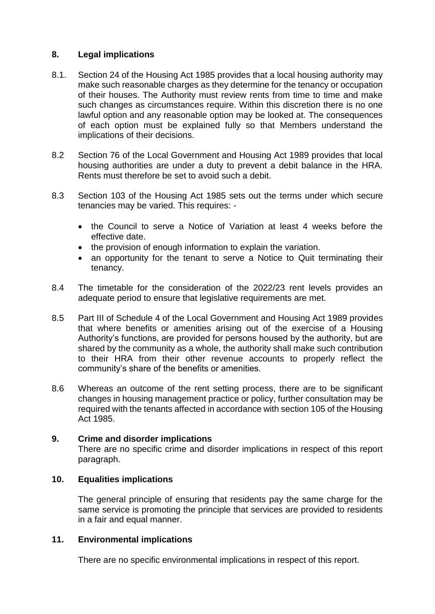## **8. Legal implications**

- 8.1. Section 24 of the Housing Act 1985 provides that a local housing authority may make such reasonable charges as they determine for the tenancy or occupation of their houses. The Authority must review rents from time to time and make such changes as circumstances require. Within this discretion there is no one lawful option and any reasonable option may be looked at. The consequences of each option must be explained fully so that Members understand the implications of their decisions.
- 8.2 Section 76 of the Local Government and Housing Act 1989 provides that local housing authorities are under a duty to prevent a debit balance in the HRA. Rents must therefore be set to avoid such a debit.
- 8.3 Section 103 of the Housing Act 1985 sets out the terms under which secure tenancies may be varied. This requires: -
	- the Council to serve a Notice of Variation at least 4 weeks before the effective date.
	- the provision of enough information to explain the variation.
	- an opportunity for the tenant to serve a Notice to Quit terminating their tenancy.
- 8.4 The timetable for the consideration of the 2022/23 rent levels provides an adequate period to ensure that legislative requirements are met.
- 8.5 Part III of Schedule 4 of the Local Government and Housing Act 1989 provides that where benefits or amenities arising out of the exercise of a Housing Authority's functions, are provided for persons housed by the authority, but are shared by the community as a whole, the authority shall make such contribution to their HRA from their other revenue accounts to properly reflect the community's share of the benefits or amenities.
- 8.6 Whereas an outcome of the rent setting process, there are to be significant changes in housing management practice or policy, further consultation may be required with the tenants affected in accordance with section 105 of the Housing Act 1985.

#### **9. Crime and disorder implications**

There are no specific crime and disorder implications in respect of this report paragraph.

#### **10. Equalities implications**

The general principle of ensuring that residents pay the same charge for the same service is promoting the principle that services are provided to residents in a fair and equal manner.

### **11. Environmental implications**

There are no specific environmental implications in respect of this report.